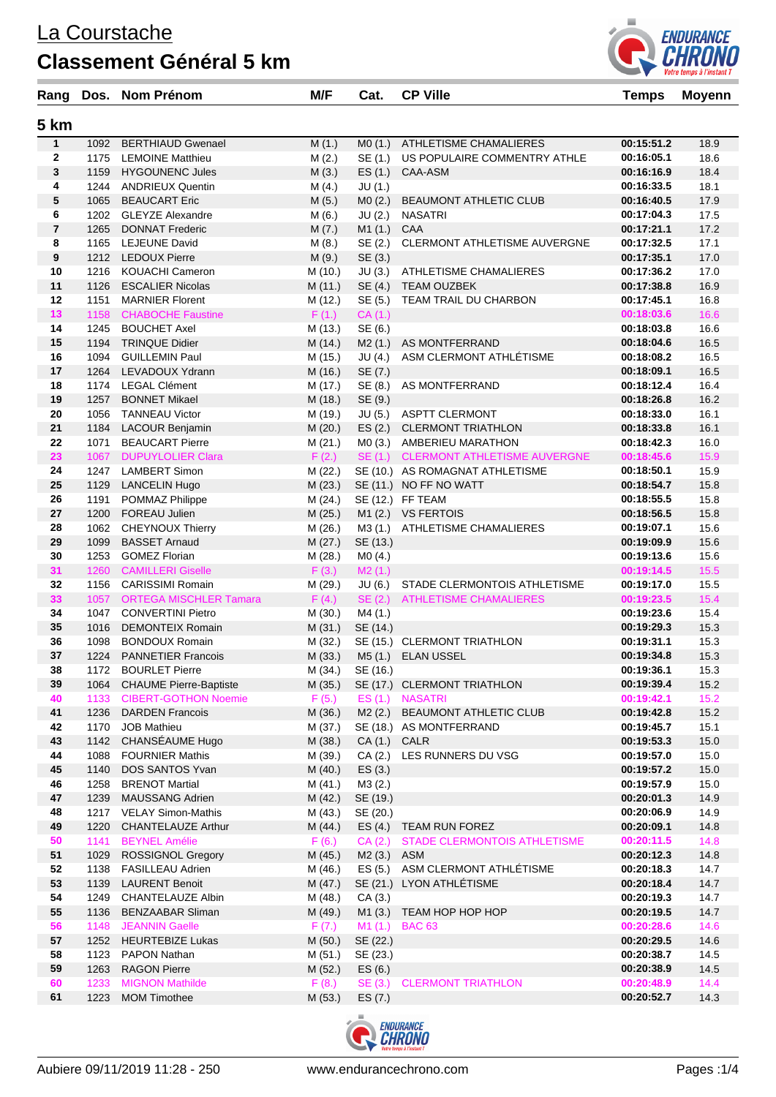## **Classement Général 5 km**



| 5 km<br>$\mathbf{1}$<br><b>BERTHIAUD Gwenael</b><br>ATHLETISME CHAMALIERES<br>M(1.)<br>MO(1.)<br>00:15:51.2<br>18.9<br>1092<br>$\mathbf{2}$<br>1175<br>LEMOINE Matthieu<br>M(2.)<br>SE (1.)<br>US POPULAIRE COMMENTRY ATHLE<br>00:16:05.1<br>18.6<br>3<br>1159<br>ES(1.)<br>18.4<br><b>HYGOUNENC Jules</b><br>M(3.)<br>CAA-ASM<br>00:16:16.9<br>18.1<br>4<br>1244<br><b>ANDRIEUX Quentin</b><br>JU(1.)<br>00:16:33.5<br>M(4.)<br>5<br>00:16:40.5<br>17.9<br>1065<br><b>BEAUCART Eric</b><br>MO(2.)<br><b>BEAUMONT ATHLETIC CLUB</b><br>M(5.)<br>6<br>1202 GLEYZE Alexandre<br>00:17:04.3<br>M(6.)<br>JU (2.)<br><b>NASATRI</b><br>17.5<br>$\overline{7}$<br><b>DONNAT Frederic</b><br>CAA<br>00:17:21.1<br>17.2<br>1265<br>M(7.)<br>M1 (1.)<br>8<br><b>LEJEUNE David</b><br>SE (2.)<br>17.1<br>1165<br>M(8.)<br>CLERMONT ATHLETISME AUVERGNE<br>00:17:32.5<br>9<br>SE (3.)<br>17.0<br>1212 LEDOUX Pierre<br>M(9.)<br>00:17:35.1<br>17.0<br>10<br>1216<br>KOUACHI Cameron<br>M (10.)<br>JU (3.)<br>ATHLETISME CHAMALIERES<br>00:17:36.2<br>11<br><b>TEAM OUZBEK</b><br>16.9<br>1126<br><b>ESCALIER Nicolas</b><br>M (11.)<br>SE (4.)<br>00:17:38.8<br>12<br>00:17:45.1<br>16.8<br>1151<br><b>MARNIER Florent</b><br>M (12.)<br>SE (5.)<br>TEAM TRAIL DU CHARBON<br>13<br>1158<br>CA (1.)<br>00:18:03.6<br>16.6<br><b>CHABOCHE Faustine</b><br>F(1.)<br>14<br>1245<br><b>BOUCHET Axel</b><br>SE (6.)<br>00:18:03.8<br>16.6<br>M (13.)<br>15<br>1194<br>16.5<br><b>TRINQUE Didier</b><br>M (14.)<br>M2(1.)<br>AS MONTFERRAND<br>00:18:04.6<br>ASM CLERMONT ATHLÉTISME<br>16.5<br>16<br>1094<br><b>GUILLEMIN Paul</b><br>M (15.)<br>JU (4.)<br>00:18:08.2<br>16.5<br>17<br>1264<br>LEVADOUX Ydrann<br>M (16.)<br>SE (7.)<br>00:18:09.1<br><b>LEGAL Clément</b><br>SE (8.)<br>16.4<br>18<br>1174<br>M (17.)<br>AS MONTFERRAND<br>00:18:12.4<br>19<br>1257<br>SE (9.)<br>16.2<br><b>BONNET Mikael</b><br>M (18.)<br>00:18:26.8<br>20<br>00:18:33.0<br>16.1<br>1056<br><b>TANNEAU Victor</b><br>M (19.)<br>JU (5.) ASPTT CLERMONT<br>21<br>LACOUR Benjamin<br>ES(2.)<br><b>CLERMONT TRIATHLON</b><br>00:18:33.8<br>16.1<br>1184<br>M(20.)<br>22<br><b>BEAUCART Pierre</b><br>AMBERIEU MARATHON<br>00:18:42.3<br>16.0<br>1071<br>M(21.)<br>MO(3.)<br>23<br><b>DUPUYLOLIER Clara</b><br>F(2.)<br>SE(1.)<br><b>CLERMONT ATHLETISME AUVERGNE</b><br>15.9<br>1067<br>00:18:45.6<br>M (22.)<br>15.9<br>24<br>1247<br>LAMBERT Simon<br>SE (10.) AS ROMAGNAT ATHLETISME<br>00:18:50.1<br>25<br>1129<br><b>LANCELIN Hugo</b><br>SE (11.) NO FF NO WATT<br>15.8<br>M(23.)<br>00:18:54.7<br>15.8<br>26<br>1191<br>POMMAZ Philippe<br>M (24.)<br>SE (12.) FF TEAM<br>00:18:55.5<br>27<br>1200<br><b>FOREAU Julien</b><br>M1(2.)<br><b>VS FERTOIS</b><br>00:18:56.5<br>15.8<br>M(25.)<br>28<br><b>CHEYNOUX Thierry</b><br><b>ATHLETISME CHAMALIERES</b><br>00:19:07.1<br>15.6<br>1062<br>M (26.)<br>M3(1.)<br>29<br>1099<br><b>BASSET Arnaud</b><br>M(27.)<br>SE (13.)<br>00:19:09.9<br>15.6<br><b>GOMEZ Florian</b><br>30<br>1253<br>M (28.)<br>MO(4.)<br>00:19:13.6<br>15.6<br>15.5<br>31<br>1260 CAMILLERI Giselle<br>00:19:14.5<br>F(3.)<br>M2(1.)<br><b>CARISSIMI Romain</b><br>15.5<br>32<br>1156<br>M (29.)<br>JU (6.)<br>STADE CLERMONTOIS ATHLETISME<br>00:19:17.0<br>SE(2.)<br>15.4<br>33<br>1057<br><b>ORTEGA MISCHLER Tamara</b><br>F(4.)<br><b>ATHLETISME CHAMALIERES</b><br>00:19:23.5<br>M4 (1.)<br>15.4<br>34<br>1047<br><b>CONVERTINI Pietro</b><br>M (30.)<br>00:19:23.6<br>35<br><b>DEMONTEIX Romain</b><br>M(31.)<br>SE (14.)<br>00:19:29.3<br>15.3<br>1016<br>36<br>1098<br>SE (15.) CLERMONT TRIATHLON<br>00:19:31.1<br>15.3<br><b>BONDOUX Romain</b><br>M (32.)<br>37<br>1224<br><b>PANNETIER Francois</b><br>00:19:34.8<br>15.3<br>M(33.)<br>M5(1.)<br><b>ELAN USSEL</b><br>38<br>1172<br>SE (16.)<br>15.3<br><b>BOURLET Pierre</b><br>M (34.)<br>00:19:36.1<br><b>CHAUME Pierre-Baptiste</b><br>39<br>SE (17.) CLERMONT TRIATHLON<br>00:19:39.4<br>15.2<br>1064<br>M(35.)<br>ES (1.) NASATRI<br>1133<br><b>CIBERT-GOTHON Noemie</b><br>F(5.)<br>00:19:42.1<br>15.2<br>40<br>41<br>1236<br><b>DARDEN Francois</b><br>M (36.)<br>M2(2.)<br>BEAUMONT ATHLETIC CLUB<br>00:19:42.8<br>15.2<br>42<br>1170<br><b>JOB Mathieu</b><br>M (37.)<br>SE (18.) AS MONTFERRAND<br>00:19:45.7<br>15.1<br>43<br>CHANSÉAUME Hugo<br>15.0<br>1142<br>M (38.)<br>$CA(1.)$ CALR<br>00:19:53.3<br>44<br>LES RUNNERS DU VSG<br>1088<br><b>FOURNIER Mathis</b><br>M (39.)<br>CA(2.)<br>00:19:57.0<br>15.0<br>15.0<br>45<br>1140<br>DOS SANTOS Yvan<br>M(40.)<br>ES(3.)<br>00:19:57.2<br>M3(2.)<br>46<br>1258<br><b>BRENOT Martial</b><br>M (41.)<br>00:19:57.9<br>15.0<br>14.9<br>47<br>1239<br><b>MAUSSANG Adrien</b><br>M (42.)<br>SE (19.)<br>00:20:01.3<br>48<br>1217<br><b>VELAY Simon-Mathis</b><br>M (43.)<br>SE (20.)<br>00:20:06.9<br>14.9<br>49<br>1220<br><b>CHANTELAUZE Arthur</b><br>ES(4.)<br>TEAM RUN FOREZ<br>00:20:09.1<br>14.8<br>M (44.)<br>50<br><b>BEYNEL Amélie</b><br>STADE CLERMONTOIS ATHLETISME<br>00:20:11.5<br>14.8<br>1141<br>F(6.)<br>CA(2.)<br>51<br>ROSSIGNOL Gregory<br>M2 (3.) ASM<br>00:20:12.3<br>14.8<br>1029<br>M (45.)<br>ES (5.) ASM CLERMONT ATHLÉTISME<br>52<br>14.7<br>1138<br><b>FASILLEAU Adrien</b><br>M (46.)<br>00:20:18.3<br>53<br>LYON ATHLÉTISME<br>14.7<br>1139<br><b>LAURENT Benoit</b><br>M (47.)<br>SE (21.)<br>00:20:18.4<br>54<br>1249<br><b>CHANTELAUZE Albin</b><br>M (48.)<br>CA(3.)<br>00:20:19.3<br>14.7<br>14.7<br>55<br><b>BENZAABAR Sliman</b><br>M1(3.)<br>TEAM HOP HOP HOP<br>00:20:19.5<br>1136<br>M (49.)<br>56<br>1148<br>JEANNIN Gaelle<br>M1(1.)<br><b>BAC 63</b><br>00:20:28.6<br>14.6<br>F(7.)<br>57<br>1252<br><b>HEURTEBIZE Lukas</b><br>M(50.)<br>SE (22.)<br>00:20:29.5<br>14.6<br>58<br>00:20:38.7<br>14.5<br>1123<br><b>PAPON Nathan</b><br>M (51.)<br>SE (23.)<br>59<br>00:20:38.9<br>14.5<br>1263<br><b>RAGON Pierre</b><br>M (52.)<br>ES(6.)<br>60<br><b>MIGNON Mathilde</b><br>00:20:48.9<br>1233<br>F(8.)<br>SE(3.)<br><b>CLERMONT TRIATHLON</b><br>14.4<br>61<br>1223<br><b>MOM Timothee</b><br>ES (7.)<br>00:20:52.7<br>14.3<br>M (53.) | Rang | Dos. Nom Prénom | M/F | Cat. | <b>CP Ville</b> | <b>Temps</b> | <b>Moyenn</b> |
|-------------------------------------------------------------------------------------------------------------------------------------------------------------------------------------------------------------------------------------------------------------------------------------------------------------------------------------------------------------------------------------------------------------------------------------------------------------------------------------------------------------------------------------------------------------------------------------------------------------------------------------------------------------------------------------------------------------------------------------------------------------------------------------------------------------------------------------------------------------------------------------------------------------------------------------------------------------------------------------------------------------------------------------------------------------------------------------------------------------------------------------------------------------------------------------------------------------------------------------------------------------------------------------------------------------------------------------------------------------------------------------------------------------------------------------------------------------------------------------------------------------------------------------------------------------------------------------------------------------------------------------------------------------------------------------------------------------------------------------------------------------------------------------------------------------------------------------------------------------------------------------------------------------------------------------------------------------------------------------------------------------------------------------------------------------------------------------------------------------------------------------------------------------------------------------------------------------------------------------------------------------------------------------------------------------------------------------------------------------------------------------------------------------------------------------------------------------------------------------------------------------------------------------------------------------------------------------------------------------------------------------------------------------------------------------------------------------------------------------------------------------------------------------------------------------------------------------------------------------------------------------------------------------------------------------------------------------------------------------------------------------------------------------------------------------------------------------------------------------------------------------------------------------------------------------------------------------------------------------------------------------------------------------------------------------------------------------------------------------------------------------------------------------------------------------------------------------------------------------------------------------------------------------------------------------------------------------------------------------------------------------------------------------------------------------------------------------------------------------------------------------------------------------------------------------------------------------------------------------------------------------------------------------------------------------------------------------------------------------------------------------------------------------------------------------------------------------------------------------------------------------------------------------------------------------------------------------------------------------------------------------------------------------------------------------------------------------------------------------------------------------------------------------------------------------------------------------------------------------------------------------------------------------------------------------------------------------------------------------------------------------------------------------------------------------------------------------------------------------------------------------------------------------------------------------------------------------------------------------------------------------------------------------------------------------------------------------------------------------------------------------------------------------------------------------------------------------------------------------------------------------------------------------------------------------------------------------------------------------------------------------------------------------------------------------------------------------------------------------------------------------------------------------------------------------------------------------------------------------------------------------------------------------------------------------------------------------------------------------------------------------------------------------------------------------------------------------------------------------------------------------------------------------------------------------------------------------------------------------------------------------------------------------------------------------------------------------------------------------------------------------------------------------------------------------------------------------------------------------|------|-----------------|-----|------|-----------------|--------------|---------------|
|                                                                                                                                                                                                                                                                                                                                                                                                                                                                                                                                                                                                                                                                                                                                                                                                                                                                                                                                                                                                                                                                                                                                                                                                                                                                                                                                                                                                                                                                                                                                                                                                                                                                                                                                                                                                                                                                                                                                                                                                                                                                                                                                                                                                                                                                                                                                                                                                                                                                                                                                                                                                                                                                                                                                                                                                                                                                                                                                                                                                                                                                                                                                                                                                                                                                                                                                                                                                                                                                                                                                                                                                                                                                                                                                                                                                                                                                                                                                                                                                                                                                                                                                                                                                                                                                                                                                                                                                                                                                                                                                                                                                                                                                                                                                                                                                                                                                                                                                                                                                                                                                                                                                                                                                                                                                                                                                                                                                                                                                                                                                                                                                                                                                                                                                                                                                                                                                                                                                                                                                                                                                                                             |      |                 |     |      |                 |              |               |
|                                                                                                                                                                                                                                                                                                                                                                                                                                                                                                                                                                                                                                                                                                                                                                                                                                                                                                                                                                                                                                                                                                                                                                                                                                                                                                                                                                                                                                                                                                                                                                                                                                                                                                                                                                                                                                                                                                                                                                                                                                                                                                                                                                                                                                                                                                                                                                                                                                                                                                                                                                                                                                                                                                                                                                                                                                                                                                                                                                                                                                                                                                                                                                                                                                                                                                                                                                                                                                                                                                                                                                                                                                                                                                                                                                                                                                                                                                                                                                                                                                                                                                                                                                                                                                                                                                                                                                                                                                                                                                                                                                                                                                                                                                                                                                                                                                                                                                                                                                                                                                                                                                                                                                                                                                                                                                                                                                                                                                                                                                                                                                                                                                                                                                                                                                                                                                                                                                                                                                                                                                                                                                             |      |                 |     |      |                 |              |               |
|                                                                                                                                                                                                                                                                                                                                                                                                                                                                                                                                                                                                                                                                                                                                                                                                                                                                                                                                                                                                                                                                                                                                                                                                                                                                                                                                                                                                                                                                                                                                                                                                                                                                                                                                                                                                                                                                                                                                                                                                                                                                                                                                                                                                                                                                                                                                                                                                                                                                                                                                                                                                                                                                                                                                                                                                                                                                                                                                                                                                                                                                                                                                                                                                                                                                                                                                                                                                                                                                                                                                                                                                                                                                                                                                                                                                                                                                                                                                                                                                                                                                                                                                                                                                                                                                                                                                                                                                                                                                                                                                                                                                                                                                                                                                                                                                                                                                                                                                                                                                                                                                                                                                                                                                                                                                                                                                                                                                                                                                                                                                                                                                                                                                                                                                                                                                                                                                                                                                                                                                                                                                                                             |      |                 |     |      |                 |              |               |
|                                                                                                                                                                                                                                                                                                                                                                                                                                                                                                                                                                                                                                                                                                                                                                                                                                                                                                                                                                                                                                                                                                                                                                                                                                                                                                                                                                                                                                                                                                                                                                                                                                                                                                                                                                                                                                                                                                                                                                                                                                                                                                                                                                                                                                                                                                                                                                                                                                                                                                                                                                                                                                                                                                                                                                                                                                                                                                                                                                                                                                                                                                                                                                                                                                                                                                                                                                                                                                                                                                                                                                                                                                                                                                                                                                                                                                                                                                                                                                                                                                                                                                                                                                                                                                                                                                                                                                                                                                                                                                                                                                                                                                                                                                                                                                                                                                                                                                                                                                                                                                                                                                                                                                                                                                                                                                                                                                                                                                                                                                                                                                                                                                                                                                                                                                                                                                                                                                                                                                                                                                                                                                             |      |                 |     |      |                 |              |               |
|                                                                                                                                                                                                                                                                                                                                                                                                                                                                                                                                                                                                                                                                                                                                                                                                                                                                                                                                                                                                                                                                                                                                                                                                                                                                                                                                                                                                                                                                                                                                                                                                                                                                                                                                                                                                                                                                                                                                                                                                                                                                                                                                                                                                                                                                                                                                                                                                                                                                                                                                                                                                                                                                                                                                                                                                                                                                                                                                                                                                                                                                                                                                                                                                                                                                                                                                                                                                                                                                                                                                                                                                                                                                                                                                                                                                                                                                                                                                                                                                                                                                                                                                                                                                                                                                                                                                                                                                                                                                                                                                                                                                                                                                                                                                                                                                                                                                                                                                                                                                                                                                                                                                                                                                                                                                                                                                                                                                                                                                                                                                                                                                                                                                                                                                                                                                                                                                                                                                                                                                                                                                                                             |      |                 |     |      |                 |              |               |
|                                                                                                                                                                                                                                                                                                                                                                                                                                                                                                                                                                                                                                                                                                                                                                                                                                                                                                                                                                                                                                                                                                                                                                                                                                                                                                                                                                                                                                                                                                                                                                                                                                                                                                                                                                                                                                                                                                                                                                                                                                                                                                                                                                                                                                                                                                                                                                                                                                                                                                                                                                                                                                                                                                                                                                                                                                                                                                                                                                                                                                                                                                                                                                                                                                                                                                                                                                                                                                                                                                                                                                                                                                                                                                                                                                                                                                                                                                                                                                                                                                                                                                                                                                                                                                                                                                                                                                                                                                                                                                                                                                                                                                                                                                                                                                                                                                                                                                                                                                                                                                                                                                                                                                                                                                                                                                                                                                                                                                                                                                                                                                                                                                                                                                                                                                                                                                                                                                                                                                                                                                                                                                             |      |                 |     |      |                 |              |               |
|                                                                                                                                                                                                                                                                                                                                                                                                                                                                                                                                                                                                                                                                                                                                                                                                                                                                                                                                                                                                                                                                                                                                                                                                                                                                                                                                                                                                                                                                                                                                                                                                                                                                                                                                                                                                                                                                                                                                                                                                                                                                                                                                                                                                                                                                                                                                                                                                                                                                                                                                                                                                                                                                                                                                                                                                                                                                                                                                                                                                                                                                                                                                                                                                                                                                                                                                                                                                                                                                                                                                                                                                                                                                                                                                                                                                                                                                                                                                                                                                                                                                                                                                                                                                                                                                                                                                                                                                                                                                                                                                                                                                                                                                                                                                                                                                                                                                                                                                                                                                                                                                                                                                                                                                                                                                                                                                                                                                                                                                                                                                                                                                                                                                                                                                                                                                                                                                                                                                                                                                                                                                                                             |      |                 |     |      |                 |              |               |
|                                                                                                                                                                                                                                                                                                                                                                                                                                                                                                                                                                                                                                                                                                                                                                                                                                                                                                                                                                                                                                                                                                                                                                                                                                                                                                                                                                                                                                                                                                                                                                                                                                                                                                                                                                                                                                                                                                                                                                                                                                                                                                                                                                                                                                                                                                                                                                                                                                                                                                                                                                                                                                                                                                                                                                                                                                                                                                                                                                                                                                                                                                                                                                                                                                                                                                                                                                                                                                                                                                                                                                                                                                                                                                                                                                                                                                                                                                                                                                                                                                                                                                                                                                                                                                                                                                                                                                                                                                                                                                                                                                                                                                                                                                                                                                                                                                                                                                                                                                                                                                                                                                                                                                                                                                                                                                                                                                                                                                                                                                                                                                                                                                                                                                                                                                                                                                                                                                                                                                                                                                                                                                             |      |                 |     |      |                 |              |               |
|                                                                                                                                                                                                                                                                                                                                                                                                                                                                                                                                                                                                                                                                                                                                                                                                                                                                                                                                                                                                                                                                                                                                                                                                                                                                                                                                                                                                                                                                                                                                                                                                                                                                                                                                                                                                                                                                                                                                                                                                                                                                                                                                                                                                                                                                                                                                                                                                                                                                                                                                                                                                                                                                                                                                                                                                                                                                                                                                                                                                                                                                                                                                                                                                                                                                                                                                                                                                                                                                                                                                                                                                                                                                                                                                                                                                                                                                                                                                                                                                                                                                                                                                                                                                                                                                                                                                                                                                                                                                                                                                                                                                                                                                                                                                                                                                                                                                                                                                                                                                                                                                                                                                                                                                                                                                                                                                                                                                                                                                                                                                                                                                                                                                                                                                                                                                                                                                                                                                                                                                                                                                                                             |      |                 |     |      |                 |              |               |
|                                                                                                                                                                                                                                                                                                                                                                                                                                                                                                                                                                                                                                                                                                                                                                                                                                                                                                                                                                                                                                                                                                                                                                                                                                                                                                                                                                                                                                                                                                                                                                                                                                                                                                                                                                                                                                                                                                                                                                                                                                                                                                                                                                                                                                                                                                                                                                                                                                                                                                                                                                                                                                                                                                                                                                                                                                                                                                                                                                                                                                                                                                                                                                                                                                                                                                                                                                                                                                                                                                                                                                                                                                                                                                                                                                                                                                                                                                                                                                                                                                                                                                                                                                                                                                                                                                                                                                                                                                                                                                                                                                                                                                                                                                                                                                                                                                                                                                                                                                                                                                                                                                                                                                                                                                                                                                                                                                                                                                                                                                                                                                                                                                                                                                                                                                                                                                                                                                                                                                                                                                                                                                             |      |                 |     |      |                 |              |               |
|                                                                                                                                                                                                                                                                                                                                                                                                                                                                                                                                                                                                                                                                                                                                                                                                                                                                                                                                                                                                                                                                                                                                                                                                                                                                                                                                                                                                                                                                                                                                                                                                                                                                                                                                                                                                                                                                                                                                                                                                                                                                                                                                                                                                                                                                                                                                                                                                                                                                                                                                                                                                                                                                                                                                                                                                                                                                                                                                                                                                                                                                                                                                                                                                                                                                                                                                                                                                                                                                                                                                                                                                                                                                                                                                                                                                                                                                                                                                                                                                                                                                                                                                                                                                                                                                                                                                                                                                                                                                                                                                                                                                                                                                                                                                                                                                                                                                                                                                                                                                                                                                                                                                                                                                                                                                                                                                                                                                                                                                                                                                                                                                                                                                                                                                                                                                                                                                                                                                                                                                                                                                                                             |      |                 |     |      |                 |              |               |
|                                                                                                                                                                                                                                                                                                                                                                                                                                                                                                                                                                                                                                                                                                                                                                                                                                                                                                                                                                                                                                                                                                                                                                                                                                                                                                                                                                                                                                                                                                                                                                                                                                                                                                                                                                                                                                                                                                                                                                                                                                                                                                                                                                                                                                                                                                                                                                                                                                                                                                                                                                                                                                                                                                                                                                                                                                                                                                                                                                                                                                                                                                                                                                                                                                                                                                                                                                                                                                                                                                                                                                                                                                                                                                                                                                                                                                                                                                                                                                                                                                                                                                                                                                                                                                                                                                                                                                                                                                                                                                                                                                                                                                                                                                                                                                                                                                                                                                                                                                                                                                                                                                                                                                                                                                                                                                                                                                                                                                                                                                                                                                                                                                                                                                                                                                                                                                                                                                                                                                                                                                                                                                             |      |                 |     |      |                 |              |               |
|                                                                                                                                                                                                                                                                                                                                                                                                                                                                                                                                                                                                                                                                                                                                                                                                                                                                                                                                                                                                                                                                                                                                                                                                                                                                                                                                                                                                                                                                                                                                                                                                                                                                                                                                                                                                                                                                                                                                                                                                                                                                                                                                                                                                                                                                                                                                                                                                                                                                                                                                                                                                                                                                                                                                                                                                                                                                                                                                                                                                                                                                                                                                                                                                                                                                                                                                                                                                                                                                                                                                                                                                                                                                                                                                                                                                                                                                                                                                                                                                                                                                                                                                                                                                                                                                                                                                                                                                                                                                                                                                                                                                                                                                                                                                                                                                                                                                                                                                                                                                                                                                                                                                                                                                                                                                                                                                                                                                                                                                                                                                                                                                                                                                                                                                                                                                                                                                                                                                                                                                                                                                                                             |      |                 |     |      |                 |              |               |
|                                                                                                                                                                                                                                                                                                                                                                                                                                                                                                                                                                                                                                                                                                                                                                                                                                                                                                                                                                                                                                                                                                                                                                                                                                                                                                                                                                                                                                                                                                                                                                                                                                                                                                                                                                                                                                                                                                                                                                                                                                                                                                                                                                                                                                                                                                                                                                                                                                                                                                                                                                                                                                                                                                                                                                                                                                                                                                                                                                                                                                                                                                                                                                                                                                                                                                                                                                                                                                                                                                                                                                                                                                                                                                                                                                                                                                                                                                                                                                                                                                                                                                                                                                                                                                                                                                                                                                                                                                                                                                                                                                                                                                                                                                                                                                                                                                                                                                                                                                                                                                                                                                                                                                                                                                                                                                                                                                                                                                                                                                                                                                                                                                                                                                                                                                                                                                                                                                                                                                                                                                                                                                             |      |                 |     |      |                 |              |               |
|                                                                                                                                                                                                                                                                                                                                                                                                                                                                                                                                                                                                                                                                                                                                                                                                                                                                                                                                                                                                                                                                                                                                                                                                                                                                                                                                                                                                                                                                                                                                                                                                                                                                                                                                                                                                                                                                                                                                                                                                                                                                                                                                                                                                                                                                                                                                                                                                                                                                                                                                                                                                                                                                                                                                                                                                                                                                                                                                                                                                                                                                                                                                                                                                                                                                                                                                                                                                                                                                                                                                                                                                                                                                                                                                                                                                                                                                                                                                                                                                                                                                                                                                                                                                                                                                                                                                                                                                                                                                                                                                                                                                                                                                                                                                                                                                                                                                                                                                                                                                                                                                                                                                                                                                                                                                                                                                                                                                                                                                                                                                                                                                                                                                                                                                                                                                                                                                                                                                                                                                                                                                                                             |      |                 |     |      |                 |              |               |
|                                                                                                                                                                                                                                                                                                                                                                                                                                                                                                                                                                                                                                                                                                                                                                                                                                                                                                                                                                                                                                                                                                                                                                                                                                                                                                                                                                                                                                                                                                                                                                                                                                                                                                                                                                                                                                                                                                                                                                                                                                                                                                                                                                                                                                                                                                                                                                                                                                                                                                                                                                                                                                                                                                                                                                                                                                                                                                                                                                                                                                                                                                                                                                                                                                                                                                                                                                                                                                                                                                                                                                                                                                                                                                                                                                                                                                                                                                                                                                                                                                                                                                                                                                                                                                                                                                                                                                                                                                                                                                                                                                                                                                                                                                                                                                                                                                                                                                                                                                                                                                                                                                                                                                                                                                                                                                                                                                                                                                                                                                                                                                                                                                                                                                                                                                                                                                                                                                                                                                                                                                                                                                             |      |                 |     |      |                 |              |               |
|                                                                                                                                                                                                                                                                                                                                                                                                                                                                                                                                                                                                                                                                                                                                                                                                                                                                                                                                                                                                                                                                                                                                                                                                                                                                                                                                                                                                                                                                                                                                                                                                                                                                                                                                                                                                                                                                                                                                                                                                                                                                                                                                                                                                                                                                                                                                                                                                                                                                                                                                                                                                                                                                                                                                                                                                                                                                                                                                                                                                                                                                                                                                                                                                                                                                                                                                                                                                                                                                                                                                                                                                                                                                                                                                                                                                                                                                                                                                                                                                                                                                                                                                                                                                                                                                                                                                                                                                                                                                                                                                                                                                                                                                                                                                                                                                                                                                                                                                                                                                                                                                                                                                                                                                                                                                                                                                                                                                                                                                                                                                                                                                                                                                                                                                                                                                                                                                                                                                                                                                                                                                                                             |      |                 |     |      |                 |              |               |
|                                                                                                                                                                                                                                                                                                                                                                                                                                                                                                                                                                                                                                                                                                                                                                                                                                                                                                                                                                                                                                                                                                                                                                                                                                                                                                                                                                                                                                                                                                                                                                                                                                                                                                                                                                                                                                                                                                                                                                                                                                                                                                                                                                                                                                                                                                                                                                                                                                                                                                                                                                                                                                                                                                                                                                                                                                                                                                                                                                                                                                                                                                                                                                                                                                                                                                                                                                                                                                                                                                                                                                                                                                                                                                                                                                                                                                                                                                                                                                                                                                                                                                                                                                                                                                                                                                                                                                                                                                                                                                                                                                                                                                                                                                                                                                                                                                                                                                                                                                                                                                                                                                                                                                                                                                                                                                                                                                                                                                                                                                                                                                                                                                                                                                                                                                                                                                                                                                                                                                                                                                                                                                             |      |                 |     |      |                 |              |               |
|                                                                                                                                                                                                                                                                                                                                                                                                                                                                                                                                                                                                                                                                                                                                                                                                                                                                                                                                                                                                                                                                                                                                                                                                                                                                                                                                                                                                                                                                                                                                                                                                                                                                                                                                                                                                                                                                                                                                                                                                                                                                                                                                                                                                                                                                                                                                                                                                                                                                                                                                                                                                                                                                                                                                                                                                                                                                                                                                                                                                                                                                                                                                                                                                                                                                                                                                                                                                                                                                                                                                                                                                                                                                                                                                                                                                                                                                                                                                                                                                                                                                                                                                                                                                                                                                                                                                                                                                                                                                                                                                                                                                                                                                                                                                                                                                                                                                                                                                                                                                                                                                                                                                                                                                                                                                                                                                                                                                                                                                                                                                                                                                                                                                                                                                                                                                                                                                                                                                                                                                                                                                                                             |      |                 |     |      |                 |              |               |
|                                                                                                                                                                                                                                                                                                                                                                                                                                                                                                                                                                                                                                                                                                                                                                                                                                                                                                                                                                                                                                                                                                                                                                                                                                                                                                                                                                                                                                                                                                                                                                                                                                                                                                                                                                                                                                                                                                                                                                                                                                                                                                                                                                                                                                                                                                                                                                                                                                                                                                                                                                                                                                                                                                                                                                                                                                                                                                                                                                                                                                                                                                                                                                                                                                                                                                                                                                                                                                                                                                                                                                                                                                                                                                                                                                                                                                                                                                                                                                                                                                                                                                                                                                                                                                                                                                                                                                                                                                                                                                                                                                                                                                                                                                                                                                                                                                                                                                                                                                                                                                                                                                                                                                                                                                                                                                                                                                                                                                                                                                                                                                                                                                                                                                                                                                                                                                                                                                                                                                                                                                                                                                             |      |                 |     |      |                 |              |               |
|                                                                                                                                                                                                                                                                                                                                                                                                                                                                                                                                                                                                                                                                                                                                                                                                                                                                                                                                                                                                                                                                                                                                                                                                                                                                                                                                                                                                                                                                                                                                                                                                                                                                                                                                                                                                                                                                                                                                                                                                                                                                                                                                                                                                                                                                                                                                                                                                                                                                                                                                                                                                                                                                                                                                                                                                                                                                                                                                                                                                                                                                                                                                                                                                                                                                                                                                                                                                                                                                                                                                                                                                                                                                                                                                                                                                                                                                                                                                                                                                                                                                                                                                                                                                                                                                                                                                                                                                                                                                                                                                                                                                                                                                                                                                                                                                                                                                                                                                                                                                                                                                                                                                                                                                                                                                                                                                                                                                                                                                                                                                                                                                                                                                                                                                                                                                                                                                                                                                                                                                                                                                                                             |      |                 |     |      |                 |              |               |
|                                                                                                                                                                                                                                                                                                                                                                                                                                                                                                                                                                                                                                                                                                                                                                                                                                                                                                                                                                                                                                                                                                                                                                                                                                                                                                                                                                                                                                                                                                                                                                                                                                                                                                                                                                                                                                                                                                                                                                                                                                                                                                                                                                                                                                                                                                                                                                                                                                                                                                                                                                                                                                                                                                                                                                                                                                                                                                                                                                                                                                                                                                                                                                                                                                                                                                                                                                                                                                                                                                                                                                                                                                                                                                                                                                                                                                                                                                                                                                                                                                                                                                                                                                                                                                                                                                                                                                                                                                                                                                                                                                                                                                                                                                                                                                                                                                                                                                                                                                                                                                                                                                                                                                                                                                                                                                                                                                                                                                                                                                                                                                                                                                                                                                                                                                                                                                                                                                                                                                                                                                                                                                             |      |                 |     |      |                 |              |               |
|                                                                                                                                                                                                                                                                                                                                                                                                                                                                                                                                                                                                                                                                                                                                                                                                                                                                                                                                                                                                                                                                                                                                                                                                                                                                                                                                                                                                                                                                                                                                                                                                                                                                                                                                                                                                                                                                                                                                                                                                                                                                                                                                                                                                                                                                                                                                                                                                                                                                                                                                                                                                                                                                                                                                                                                                                                                                                                                                                                                                                                                                                                                                                                                                                                                                                                                                                                                                                                                                                                                                                                                                                                                                                                                                                                                                                                                                                                                                                                                                                                                                                                                                                                                                                                                                                                                                                                                                                                                                                                                                                                                                                                                                                                                                                                                                                                                                                                                                                                                                                                                                                                                                                                                                                                                                                                                                                                                                                                                                                                                                                                                                                                                                                                                                                                                                                                                                                                                                                                                                                                                                                                             |      |                 |     |      |                 |              |               |
|                                                                                                                                                                                                                                                                                                                                                                                                                                                                                                                                                                                                                                                                                                                                                                                                                                                                                                                                                                                                                                                                                                                                                                                                                                                                                                                                                                                                                                                                                                                                                                                                                                                                                                                                                                                                                                                                                                                                                                                                                                                                                                                                                                                                                                                                                                                                                                                                                                                                                                                                                                                                                                                                                                                                                                                                                                                                                                                                                                                                                                                                                                                                                                                                                                                                                                                                                                                                                                                                                                                                                                                                                                                                                                                                                                                                                                                                                                                                                                                                                                                                                                                                                                                                                                                                                                                                                                                                                                                                                                                                                                                                                                                                                                                                                                                                                                                                                                                                                                                                                                                                                                                                                                                                                                                                                                                                                                                                                                                                                                                                                                                                                                                                                                                                                                                                                                                                                                                                                                                                                                                                                                             |      |                 |     |      |                 |              |               |
|                                                                                                                                                                                                                                                                                                                                                                                                                                                                                                                                                                                                                                                                                                                                                                                                                                                                                                                                                                                                                                                                                                                                                                                                                                                                                                                                                                                                                                                                                                                                                                                                                                                                                                                                                                                                                                                                                                                                                                                                                                                                                                                                                                                                                                                                                                                                                                                                                                                                                                                                                                                                                                                                                                                                                                                                                                                                                                                                                                                                                                                                                                                                                                                                                                                                                                                                                                                                                                                                                                                                                                                                                                                                                                                                                                                                                                                                                                                                                                                                                                                                                                                                                                                                                                                                                                                                                                                                                                                                                                                                                                                                                                                                                                                                                                                                                                                                                                                                                                                                                                                                                                                                                                                                                                                                                                                                                                                                                                                                                                                                                                                                                                                                                                                                                                                                                                                                                                                                                                                                                                                                                                             |      |                 |     |      |                 |              |               |
|                                                                                                                                                                                                                                                                                                                                                                                                                                                                                                                                                                                                                                                                                                                                                                                                                                                                                                                                                                                                                                                                                                                                                                                                                                                                                                                                                                                                                                                                                                                                                                                                                                                                                                                                                                                                                                                                                                                                                                                                                                                                                                                                                                                                                                                                                                                                                                                                                                                                                                                                                                                                                                                                                                                                                                                                                                                                                                                                                                                                                                                                                                                                                                                                                                                                                                                                                                                                                                                                                                                                                                                                                                                                                                                                                                                                                                                                                                                                                                                                                                                                                                                                                                                                                                                                                                                                                                                                                                                                                                                                                                                                                                                                                                                                                                                                                                                                                                                                                                                                                                                                                                                                                                                                                                                                                                                                                                                                                                                                                                                                                                                                                                                                                                                                                                                                                                                                                                                                                                                                                                                                                                             |      |                 |     |      |                 |              |               |
|                                                                                                                                                                                                                                                                                                                                                                                                                                                                                                                                                                                                                                                                                                                                                                                                                                                                                                                                                                                                                                                                                                                                                                                                                                                                                                                                                                                                                                                                                                                                                                                                                                                                                                                                                                                                                                                                                                                                                                                                                                                                                                                                                                                                                                                                                                                                                                                                                                                                                                                                                                                                                                                                                                                                                                                                                                                                                                                                                                                                                                                                                                                                                                                                                                                                                                                                                                                                                                                                                                                                                                                                                                                                                                                                                                                                                                                                                                                                                                                                                                                                                                                                                                                                                                                                                                                                                                                                                                                                                                                                                                                                                                                                                                                                                                                                                                                                                                                                                                                                                                                                                                                                                                                                                                                                                                                                                                                                                                                                                                                                                                                                                                                                                                                                                                                                                                                                                                                                                                                                                                                                                                             |      |                 |     |      |                 |              |               |
|                                                                                                                                                                                                                                                                                                                                                                                                                                                                                                                                                                                                                                                                                                                                                                                                                                                                                                                                                                                                                                                                                                                                                                                                                                                                                                                                                                                                                                                                                                                                                                                                                                                                                                                                                                                                                                                                                                                                                                                                                                                                                                                                                                                                                                                                                                                                                                                                                                                                                                                                                                                                                                                                                                                                                                                                                                                                                                                                                                                                                                                                                                                                                                                                                                                                                                                                                                                                                                                                                                                                                                                                                                                                                                                                                                                                                                                                                                                                                                                                                                                                                                                                                                                                                                                                                                                                                                                                                                                                                                                                                                                                                                                                                                                                                                                                                                                                                                                                                                                                                                                                                                                                                                                                                                                                                                                                                                                                                                                                                                                                                                                                                                                                                                                                                                                                                                                                                                                                                                                                                                                                                                             |      |                 |     |      |                 |              |               |
|                                                                                                                                                                                                                                                                                                                                                                                                                                                                                                                                                                                                                                                                                                                                                                                                                                                                                                                                                                                                                                                                                                                                                                                                                                                                                                                                                                                                                                                                                                                                                                                                                                                                                                                                                                                                                                                                                                                                                                                                                                                                                                                                                                                                                                                                                                                                                                                                                                                                                                                                                                                                                                                                                                                                                                                                                                                                                                                                                                                                                                                                                                                                                                                                                                                                                                                                                                                                                                                                                                                                                                                                                                                                                                                                                                                                                                                                                                                                                                                                                                                                                                                                                                                                                                                                                                                                                                                                                                                                                                                                                                                                                                                                                                                                                                                                                                                                                                                                                                                                                                                                                                                                                                                                                                                                                                                                                                                                                                                                                                                                                                                                                                                                                                                                                                                                                                                                                                                                                                                                                                                                                                             |      |                 |     |      |                 |              |               |
|                                                                                                                                                                                                                                                                                                                                                                                                                                                                                                                                                                                                                                                                                                                                                                                                                                                                                                                                                                                                                                                                                                                                                                                                                                                                                                                                                                                                                                                                                                                                                                                                                                                                                                                                                                                                                                                                                                                                                                                                                                                                                                                                                                                                                                                                                                                                                                                                                                                                                                                                                                                                                                                                                                                                                                                                                                                                                                                                                                                                                                                                                                                                                                                                                                                                                                                                                                                                                                                                                                                                                                                                                                                                                                                                                                                                                                                                                                                                                                                                                                                                                                                                                                                                                                                                                                                                                                                                                                                                                                                                                                                                                                                                                                                                                                                                                                                                                                                                                                                                                                                                                                                                                                                                                                                                                                                                                                                                                                                                                                                                                                                                                                                                                                                                                                                                                                                                                                                                                                                                                                                                                                             |      |                 |     |      |                 |              |               |
|                                                                                                                                                                                                                                                                                                                                                                                                                                                                                                                                                                                                                                                                                                                                                                                                                                                                                                                                                                                                                                                                                                                                                                                                                                                                                                                                                                                                                                                                                                                                                                                                                                                                                                                                                                                                                                                                                                                                                                                                                                                                                                                                                                                                                                                                                                                                                                                                                                                                                                                                                                                                                                                                                                                                                                                                                                                                                                                                                                                                                                                                                                                                                                                                                                                                                                                                                                                                                                                                                                                                                                                                                                                                                                                                                                                                                                                                                                                                                                                                                                                                                                                                                                                                                                                                                                                                                                                                                                                                                                                                                                                                                                                                                                                                                                                                                                                                                                                                                                                                                                                                                                                                                                                                                                                                                                                                                                                                                                                                                                                                                                                                                                                                                                                                                                                                                                                                                                                                                                                                                                                                                                             |      |                 |     |      |                 |              |               |
|                                                                                                                                                                                                                                                                                                                                                                                                                                                                                                                                                                                                                                                                                                                                                                                                                                                                                                                                                                                                                                                                                                                                                                                                                                                                                                                                                                                                                                                                                                                                                                                                                                                                                                                                                                                                                                                                                                                                                                                                                                                                                                                                                                                                                                                                                                                                                                                                                                                                                                                                                                                                                                                                                                                                                                                                                                                                                                                                                                                                                                                                                                                                                                                                                                                                                                                                                                                                                                                                                                                                                                                                                                                                                                                                                                                                                                                                                                                                                                                                                                                                                                                                                                                                                                                                                                                                                                                                                                                                                                                                                                                                                                                                                                                                                                                                                                                                                                                                                                                                                                                                                                                                                                                                                                                                                                                                                                                                                                                                                                                                                                                                                                                                                                                                                                                                                                                                                                                                                                                                                                                                                                             |      |                 |     |      |                 |              |               |
|                                                                                                                                                                                                                                                                                                                                                                                                                                                                                                                                                                                                                                                                                                                                                                                                                                                                                                                                                                                                                                                                                                                                                                                                                                                                                                                                                                                                                                                                                                                                                                                                                                                                                                                                                                                                                                                                                                                                                                                                                                                                                                                                                                                                                                                                                                                                                                                                                                                                                                                                                                                                                                                                                                                                                                                                                                                                                                                                                                                                                                                                                                                                                                                                                                                                                                                                                                                                                                                                                                                                                                                                                                                                                                                                                                                                                                                                                                                                                                                                                                                                                                                                                                                                                                                                                                                                                                                                                                                                                                                                                                                                                                                                                                                                                                                                                                                                                                                                                                                                                                                                                                                                                                                                                                                                                                                                                                                                                                                                                                                                                                                                                                                                                                                                                                                                                                                                                                                                                                                                                                                                                                             |      |                 |     |      |                 |              |               |
|                                                                                                                                                                                                                                                                                                                                                                                                                                                                                                                                                                                                                                                                                                                                                                                                                                                                                                                                                                                                                                                                                                                                                                                                                                                                                                                                                                                                                                                                                                                                                                                                                                                                                                                                                                                                                                                                                                                                                                                                                                                                                                                                                                                                                                                                                                                                                                                                                                                                                                                                                                                                                                                                                                                                                                                                                                                                                                                                                                                                                                                                                                                                                                                                                                                                                                                                                                                                                                                                                                                                                                                                                                                                                                                                                                                                                                                                                                                                                                                                                                                                                                                                                                                                                                                                                                                                                                                                                                                                                                                                                                                                                                                                                                                                                                                                                                                                                                                                                                                                                                                                                                                                                                                                                                                                                                                                                                                                                                                                                                                                                                                                                                                                                                                                                                                                                                                                                                                                                                                                                                                                                                             |      |                 |     |      |                 |              |               |
|                                                                                                                                                                                                                                                                                                                                                                                                                                                                                                                                                                                                                                                                                                                                                                                                                                                                                                                                                                                                                                                                                                                                                                                                                                                                                                                                                                                                                                                                                                                                                                                                                                                                                                                                                                                                                                                                                                                                                                                                                                                                                                                                                                                                                                                                                                                                                                                                                                                                                                                                                                                                                                                                                                                                                                                                                                                                                                                                                                                                                                                                                                                                                                                                                                                                                                                                                                                                                                                                                                                                                                                                                                                                                                                                                                                                                                                                                                                                                                                                                                                                                                                                                                                                                                                                                                                                                                                                                                                                                                                                                                                                                                                                                                                                                                                                                                                                                                                                                                                                                                                                                                                                                                                                                                                                                                                                                                                                                                                                                                                                                                                                                                                                                                                                                                                                                                                                                                                                                                                                                                                                                                             |      |                 |     |      |                 |              |               |
|                                                                                                                                                                                                                                                                                                                                                                                                                                                                                                                                                                                                                                                                                                                                                                                                                                                                                                                                                                                                                                                                                                                                                                                                                                                                                                                                                                                                                                                                                                                                                                                                                                                                                                                                                                                                                                                                                                                                                                                                                                                                                                                                                                                                                                                                                                                                                                                                                                                                                                                                                                                                                                                                                                                                                                                                                                                                                                                                                                                                                                                                                                                                                                                                                                                                                                                                                                                                                                                                                                                                                                                                                                                                                                                                                                                                                                                                                                                                                                                                                                                                                                                                                                                                                                                                                                                                                                                                                                                                                                                                                                                                                                                                                                                                                                                                                                                                                                                                                                                                                                                                                                                                                                                                                                                                                                                                                                                                                                                                                                                                                                                                                                                                                                                                                                                                                                                                                                                                                                                                                                                                                                             |      |                 |     |      |                 |              |               |
|                                                                                                                                                                                                                                                                                                                                                                                                                                                                                                                                                                                                                                                                                                                                                                                                                                                                                                                                                                                                                                                                                                                                                                                                                                                                                                                                                                                                                                                                                                                                                                                                                                                                                                                                                                                                                                                                                                                                                                                                                                                                                                                                                                                                                                                                                                                                                                                                                                                                                                                                                                                                                                                                                                                                                                                                                                                                                                                                                                                                                                                                                                                                                                                                                                                                                                                                                                                                                                                                                                                                                                                                                                                                                                                                                                                                                                                                                                                                                                                                                                                                                                                                                                                                                                                                                                                                                                                                                                                                                                                                                                                                                                                                                                                                                                                                                                                                                                                                                                                                                                                                                                                                                                                                                                                                                                                                                                                                                                                                                                                                                                                                                                                                                                                                                                                                                                                                                                                                                                                                                                                                                                             |      |                 |     |      |                 |              |               |
|                                                                                                                                                                                                                                                                                                                                                                                                                                                                                                                                                                                                                                                                                                                                                                                                                                                                                                                                                                                                                                                                                                                                                                                                                                                                                                                                                                                                                                                                                                                                                                                                                                                                                                                                                                                                                                                                                                                                                                                                                                                                                                                                                                                                                                                                                                                                                                                                                                                                                                                                                                                                                                                                                                                                                                                                                                                                                                                                                                                                                                                                                                                                                                                                                                                                                                                                                                                                                                                                                                                                                                                                                                                                                                                                                                                                                                                                                                                                                                                                                                                                                                                                                                                                                                                                                                                                                                                                                                                                                                                                                                                                                                                                                                                                                                                                                                                                                                                                                                                                                                                                                                                                                                                                                                                                                                                                                                                                                                                                                                                                                                                                                                                                                                                                                                                                                                                                                                                                                                                                                                                                                                             |      |                 |     |      |                 |              |               |
|                                                                                                                                                                                                                                                                                                                                                                                                                                                                                                                                                                                                                                                                                                                                                                                                                                                                                                                                                                                                                                                                                                                                                                                                                                                                                                                                                                                                                                                                                                                                                                                                                                                                                                                                                                                                                                                                                                                                                                                                                                                                                                                                                                                                                                                                                                                                                                                                                                                                                                                                                                                                                                                                                                                                                                                                                                                                                                                                                                                                                                                                                                                                                                                                                                                                                                                                                                                                                                                                                                                                                                                                                                                                                                                                                                                                                                                                                                                                                                                                                                                                                                                                                                                                                                                                                                                                                                                                                                                                                                                                                                                                                                                                                                                                                                                                                                                                                                                                                                                                                                                                                                                                                                                                                                                                                                                                                                                                                                                                                                                                                                                                                                                                                                                                                                                                                                                                                                                                                                                                                                                                                                             |      |                 |     |      |                 |              |               |
|                                                                                                                                                                                                                                                                                                                                                                                                                                                                                                                                                                                                                                                                                                                                                                                                                                                                                                                                                                                                                                                                                                                                                                                                                                                                                                                                                                                                                                                                                                                                                                                                                                                                                                                                                                                                                                                                                                                                                                                                                                                                                                                                                                                                                                                                                                                                                                                                                                                                                                                                                                                                                                                                                                                                                                                                                                                                                                                                                                                                                                                                                                                                                                                                                                                                                                                                                                                                                                                                                                                                                                                                                                                                                                                                                                                                                                                                                                                                                                                                                                                                                                                                                                                                                                                                                                                                                                                                                                                                                                                                                                                                                                                                                                                                                                                                                                                                                                                                                                                                                                                                                                                                                                                                                                                                                                                                                                                                                                                                                                                                                                                                                                                                                                                                                                                                                                                                                                                                                                                                                                                                                                             |      |                 |     |      |                 |              |               |
|                                                                                                                                                                                                                                                                                                                                                                                                                                                                                                                                                                                                                                                                                                                                                                                                                                                                                                                                                                                                                                                                                                                                                                                                                                                                                                                                                                                                                                                                                                                                                                                                                                                                                                                                                                                                                                                                                                                                                                                                                                                                                                                                                                                                                                                                                                                                                                                                                                                                                                                                                                                                                                                                                                                                                                                                                                                                                                                                                                                                                                                                                                                                                                                                                                                                                                                                                                                                                                                                                                                                                                                                                                                                                                                                                                                                                                                                                                                                                                                                                                                                                                                                                                                                                                                                                                                                                                                                                                                                                                                                                                                                                                                                                                                                                                                                                                                                                                                                                                                                                                                                                                                                                                                                                                                                                                                                                                                                                                                                                                                                                                                                                                                                                                                                                                                                                                                                                                                                                                                                                                                                                                             |      |                 |     |      |                 |              |               |
|                                                                                                                                                                                                                                                                                                                                                                                                                                                                                                                                                                                                                                                                                                                                                                                                                                                                                                                                                                                                                                                                                                                                                                                                                                                                                                                                                                                                                                                                                                                                                                                                                                                                                                                                                                                                                                                                                                                                                                                                                                                                                                                                                                                                                                                                                                                                                                                                                                                                                                                                                                                                                                                                                                                                                                                                                                                                                                                                                                                                                                                                                                                                                                                                                                                                                                                                                                                                                                                                                                                                                                                                                                                                                                                                                                                                                                                                                                                                                                                                                                                                                                                                                                                                                                                                                                                                                                                                                                                                                                                                                                                                                                                                                                                                                                                                                                                                                                                                                                                                                                                                                                                                                                                                                                                                                                                                                                                                                                                                                                                                                                                                                                                                                                                                                                                                                                                                                                                                                                                                                                                                                                             |      |                 |     |      |                 |              |               |
|                                                                                                                                                                                                                                                                                                                                                                                                                                                                                                                                                                                                                                                                                                                                                                                                                                                                                                                                                                                                                                                                                                                                                                                                                                                                                                                                                                                                                                                                                                                                                                                                                                                                                                                                                                                                                                                                                                                                                                                                                                                                                                                                                                                                                                                                                                                                                                                                                                                                                                                                                                                                                                                                                                                                                                                                                                                                                                                                                                                                                                                                                                                                                                                                                                                                                                                                                                                                                                                                                                                                                                                                                                                                                                                                                                                                                                                                                                                                                                                                                                                                                                                                                                                                                                                                                                                                                                                                                                                                                                                                                                                                                                                                                                                                                                                                                                                                                                                                                                                                                                                                                                                                                                                                                                                                                                                                                                                                                                                                                                                                                                                                                                                                                                                                                                                                                                                                                                                                                                                                                                                                                                             |      |                 |     |      |                 |              |               |
|                                                                                                                                                                                                                                                                                                                                                                                                                                                                                                                                                                                                                                                                                                                                                                                                                                                                                                                                                                                                                                                                                                                                                                                                                                                                                                                                                                                                                                                                                                                                                                                                                                                                                                                                                                                                                                                                                                                                                                                                                                                                                                                                                                                                                                                                                                                                                                                                                                                                                                                                                                                                                                                                                                                                                                                                                                                                                                                                                                                                                                                                                                                                                                                                                                                                                                                                                                                                                                                                                                                                                                                                                                                                                                                                                                                                                                                                                                                                                                                                                                                                                                                                                                                                                                                                                                                                                                                                                                                                                                                                                                                                                                                                                                                                                                                                                                                                                                                                                                                                                                                                                                                                                                                                                                                                                                                                                                                                                                                                                                                                                                                                                                                                                                                                                                                                                                                                                                                                                                                                                                                                                                             |      |                 |     |      |                 |              |               |
|                                                                                                                                                                                                                                                                                                                                                                                                                                                                                                                                                                                                                                                                                                                                                                                                                                                                                                                                                                                                                                                                                                                                                                                                                                                                                                                                                                                                                                                                                                                                                                                                                                                                                                                                                                                                                                                                                                                                                                                                                                                                                                                                                                                                                                                                                                                                                                                                                                                                                                                                                                                                                                                                                                                                                                                                                                                                                                                                                                                                                                                                                                                                                                                                                                                                                                                                                                                                                                                                                                                                                                                                                                                                                                                                                                                                                                                                                                                                                                                                                                                                                                                                                                                                                                                                                                                                                                                                                                                                                                                                                                                                                                                                                                                                                                                                                                                                                                                                                                                                                                                                                                                                                                                                                                                                                                                                                                                                                                                                                                                                                                                                                                                                                                                                                                                                                                                                                                                                                                                                                                                                                                             |      |                 |     |      |                 |              |               |
|                                                                                                                                                                                                                                                                                                                                                                                                                                                                                                                                                                                                                                                                                                                                                                                                                                                                                                                                                                                                                                                                                                                                                                                                                                                                                                                                                                                                                                                                                                                                                                                                                                                                                                                                                                                                                                                                                                                                                                                                                                                                                                                                                                                                                                                                                                                                                                                                                                                                                                                                                                                                                                                                                                                                                                                                                                                                                                                                                                                                                                                                                                                                                                                                                                                                                                                                                                                                                                                                                                                                                                                                                                                                                                                                                                                                                                                                                                                                                                                                                                                                                                                                                                                                                                                                                                                                                                                                                                                                                                                                                                                                                                                                                                                                                                                                                                                                                                                                                                                                                                                                                                                                                                                                                                                                                                                                                                                                                                                                                                                                                                                                                                                                                                                                                                                                                                                                                                                                                                                                                                                                                                             |      |                 |     |      |                 |              |               |
|                                                                                                                                                                                                                                                                                                                                                                                                                                                                                                                                                                                                                                                                                                                                                                                                                                                                                                                                                                                                                                                                                                                                                                                                                                                                                                                                                                                                                                                                                                                                                                                                                                                                                                                                                                                                                                                                                                                                                                                                                                                                                                                                                                                                                                                                                                                                                                                                                                                                                                                                                                                                                                                                                                                                                                                                                                                                                                                                                                                                                                                                                                                                                                                                                                                                                                                                                                                                                                                                                                                                                                                                                                                                                                                                                                                                                                                                                                                                                                                                                                                                                                                                                                                                                                                                                                                                                                                                                                                                                                                                                                                                                                                                                                                                                                                                                                                                                                                                                                                                                                                                                                                                                                                                                                                                                                                                                                                                                                                                                                                                                                                                                                                                                                                                                                                                                                                                                                                                                                                                                                                                                                             |      |                 |     |      |                 |              |               |
|                                                                                                                                                                                                                                                                                                                                                                                                                                                                                                                                                                                                                                                                                                                                                                                                                                                                                                                                                                                                                                                                                                                                                                                                                                                                                                                                                                                                                                                                                                                                                                                                                                                                                                                                                                                                                                                                                                                                                                                                                                                                                                                                                                                                                                                                                                                                                                                                                                                                                                                                                                                                                                                                                                                                                                                                                                                                                                                                                                                                                                                                                                                                                                                                                                                                                                                                                                                                                                                                                                                                                                                                                                                                                                                                                                                                                                                                                                                                                                                                                                                                                                                                                                                                                                                                                                                                                                                                                                                                                                                                                                                                                                                                                                                                                                                                                                                                                                                                                                                                                                                                                                                                                                                                                                                                                                                                                                                                                                                                                                                                                                                                                                                                                                                                                                                                                                                                                                                                                                                                                                                                                                             |      |                 |     |      |                 |              |               |
|                                                                                                                                                                                                                                                                                                                                                                                                                                                                                                                                                                                                                                                                                                                                                                                                                                                                                                                                                                                                                                                                                                                                                                                                                                                                                                                                                                                                                                                                                                                                                                                                                                                                                                                                                                                                                                                                                                                                                                                                                                                                                                                                                                                                                                                                                                                                                                                                                                                                                                                                                                                                                                                                                                                                                                                                                                                                                                                                                                                                                                                                                                                                                                                                                                                                                                                                                                                                                                                                                                                                                                                                                                                                                                                                                                                                                                                                                                                                                                                                                                                                                                                                                                                                                                                                                                                                                                                                                                                                                                                                                                                                                                                                                                                                                                                                                                                                                                                                                                                                                                                                                                                                                                                                                                                                                                                                                                                                                                                                                                                                                                                                                                                                                                                                                                                                                                                                                                                                                                                                                                                                                                             |      |                 |     |      |                 |              |               |
|                                                                                                                                                                                                                                                                                                                                                                                                                                                                                                                                                                                                                                                                                                                                                                                                                                                                                                                                                                                                                                                                                                                                                                                                                                                                                                                                                                                                                                                                                                                                                                                                                                                                                                                                                                                                                                                                                                                                                                                                                                                                                                                                                                                                                                                                                                                                                                                                                                                                                                                                                                                                                                                                                                                                                                                                                                                                                                                                                                                                                                                                                                                                                                                                                                                                                                                                                                                                                                                                                                                                                                                                                                                                                                                                                                                                                                                                                                                                                                                                                                                                                                                                                                                                                                                                                                                                                                                                                                                                                                                                                                                                                                                                                                                                                                                                                                                                                                                                                                                                                                                                                                                                                                                                                                                                                                                                                                                                                                                                                                                                                                                                                                                                                                                                                                                                                                                                                                                                                                                                                                                                                                             |      |                 |     |      |                 |              |               |
|                                                                                                                                                                                                                                                                                                                                                                                                                                                                                                                                                                                                                                                                                                                                                                                                                                                                                                                                                                                                                                                                                                                                                                                                                                                                                                                                                                                                                                                                                                                                                                                                                                                                                                                                                                                                                                                                                                                                                                                                                                                                                                                                                                                                                                                                                                                                                                                                                                                                                                                                                                                                                                                                                                                                                                                                                                                                                                                                                                                                                                                                                                                                                                                                                                                                                                                                                                                                                                                                                                                                                                                                                                                                                                                                                                                                                                                                                                                                                                                                                                                                                                                                                                                                                                                                                                                                                                                                                                                                                                                                                                                                                                                                                                                                                                                                                                                                                                                                                                                                                                                                                                                                                                                                                                                                                                                                                                                                                                                                                                                                                                                                                                                                                                                                                                                                                                                                                                                                                                                                                                                                                                             |      |                 |     |      |                 |              |               |
|                                                                                                                                                                                                                                                                                                                                                                                                                                                                                                                                                                                                                                                                                                                                                                                                                                                                                                                                                                                                                                                                                                                                                                                                                                                                                                                                                                                                                                                                                                                                                                                                                                                                                                                                                                                                                                                                                                                                                                                                                                                                                                                                                                                                                                                                                                                                                                                                                                                                                                                                                                                                                                                                                                                                                                                                                                                                                                                                                                                                                                                                                                                                                                                                                                                                                                                                                                                                                                                                                                                                                                                                                                                                                                                                                                                                                                                                                                                                                                                                                                                                                                                                                                                                                                                                                                                                                                                                                                                                                                                                                                                                                                                                                                                                                                                                                                                                                                                                                                                                                                                                                                                                                                                                                                                                                                                                                                                                                                                                                                                                                                                                                                                                                                                                                                                                                                                                                                                                                                                                                                                                                                             |      |                 |     |      |                 |              |               |
|                                                                                                                                                                                                                                                                                                                                                                                                                                                                                                                                                                                                                                                                                                                                                                                                                                                                                                                                                                                                                                                                                                                                                                                                                                                                                                                                                                                                                                                                                                                                                                                                                                                                                                                                                                                                                                                                                                                                                                                                                                                                                                                                                                                                                                                                                                                                                                                                                                                                                                                                                                                                                                                                                                                                                                                                                                                                                                                                                                                                                                                                                                                                                                                                                                                                                                                                                                                                                                                                                                                                                                                                                                                                                                                                                                                                                                                                                                                                                                                                                                                                                                                                                                                                                                                                                                                                                                                                                                                                                                                                                                                                                                                                                                                                                                                                                                                                                                                                                                                                                                                                                                                                                                                                                                                                                                                                                                                                                                                                                                                                                                                                                                                                                                                                                                                                                                                                                                                                                                                                                                                                                                             |      |                 |     |      |                 |              |               |
|                                                                                                                                                                                                                                                                                                                                                                                                                                                                                                                                                                                                                                                                                                                                                                                                                                                                                                                                                                                                                                                                                                                                                                                                                                                                                                                                                                                                                                                                                                                                                                                                                                                                                                                                                                                                                                                                                                                                                                                                                                                                                                                                                                                                                                                                                                                                                                                                                                                                                                                                                                                                                                                                                                                                                                                                                                                                                                                                                                                                                                                                                                                                                                                                                                                                                                                                                                                                                                                                                                                                                                                                                                                                                                                                                                                                                                                                                                                                                                                                                                                                                                                                                                                                                                                                                                                                                                                                                                                                                                                                                                                                                                                                                                                                                                                                                                                                                                                                                                                                                                                                                                                                                                                                                                                                                                                                                                                                                                                                                                                                                                                                                                                                                                                                                                                                                                                                                                                                                                                                                                                                                                             |      |                 |     |      |                 |              |               |
|                                                                                                                                                                                                                                                                                                                                                                                                                                                                                                                                                                                                                                                                                                                                                                                                                                                                                                                                                                                                                                                                                                                                                                                                                                                                                                                                                                                                                                                                                                                                                                                                                                                                                                                                                                                                                                                                                                                                                                                                                                                                                                                                                                                                                                                                                                                                                                                                                                                                                                                                                                                                                                                                                                                                                                                                                                                                                                                                                                                                                                                                                                                                                                                                                                                                                                                                                                                                                                                                                                                                                                                                                                                                                                                                                                                                                                                                                                                                                                                                                                                                                                                                                                                                                                                                                                                                                                                                                                                                                                                                                                                                                                                                                                                                                                                                                                                                                                                                                                                                                                                                                                                                                                                                                                                                                                                                                                                                                                                                                                                                                                                                                                                                                                                                                                                                                                                                                                                                                                                                                                                                                                             |      |                 |     |      |                 |              |               |
|                                                                                                                                                                                                                                                                                                                                                                                                                                                                                                                                                                                                                                                                                                                                                                                                                                                                                                                                                                                                                                                                                                                                                                                                                                                                                                                                                                                                                                                                                                                                                                                                                                                                                                                                                                                                                                                                                                                                                                                                                                                                                                                                                                                                                                                                                                                                                                                                                                                                                                                                                                                                                                                                                                                                                                                                                                                                                                                                                                                                                                                                                                                                                                                                                                                                                                                                                                                                                                                                                                                                                                                                                                                                                                                                                                                                                                                                                                                                                                                                                                                                                                                                                                                                                                                                                                                                                                                                                                                                                                                                                                                                                                                                                                                                                                                                                                                                                                                                                                                                                                                                                                                                                                                                                                                                                                                                                                                                                                                                                                                                                                                                                                                                                                                                                                                                                                                                                                                                                                                                                                                                                                             |      |                 |     |      |                 |              |               |
|                                                                                                                                                                                                                                                                                                                                                                                                                                                                                                                                                                                                                                                                                                                                                                                                                                                                                                                                                                                                                                                                                                                                                                                                                                                                                                                                                                                                                                                                                                                                                                                                                                                                                                                                                                                                                                                                                                                                                                                                                                                                                                                                                                                                                                                                                                                                                                                                                                                                                                                                                                                                                                                                                                                                                                                                                                                                                                                                                                                                                                                                                                                                                                                                                                                                                                                                                                                                                                                                                                                                                                                                                                                                                                                                                                                                                                                                                                                                                                                                                                                                                                                                                                                                                                                                                                                                                                                                                                                                                                                                                                                                                                                                                                                                                                                                                                                                                                                                                                                                                                                                                                                                                                                                                                                                                                                                                                                                                                                                                                                                                                                                                                                                                                                                                                                                                                                                                                                                                                                                                                                                                                             |      |                 |     |      |                 |              |               |
|                                                                                                                                                                                                                                                                                                                                                                                                                                                                                                                                                                                                                                                                                                                                                                                                                                                                                                                                                                                                                                                                                                                                                                                                                                                                                                                                                                                                                                                                                                                                                                                                                                                                                                                                                                                                                                                                                                                                                                                                                                                                                                                                                                                                                                                                                                                                                                                                                                                                                                                                                                                                                                                                                                                                                                                                                                                                                                                                                                                                                                                                                                                                                                                                                                                                                                                                                                                                                                                                                                                                                                                                                                                                                                                                                                                                                                                                                                                                                                                                                                                                                                                                                                                                                                                                                                                                                                                                                                                                                                                                                                                                                                                                                                                                                                                                                                                                                                                                                                                                                                                                                                                                                                                                                                                                                                                                                                                                                                                                                                                                                                                                                                                                                                                                                                                                                                                                                                                                                                                                                                                                                                             |      |                 |     |      |                 |              |               |
|                                                                                                                                                                                                                                                                                                                                                                                                                                                                                                                                                                                                                                                                                                                                                                                                                                                                                                                                                                                                                                                                                                                                                                                                                                                                                                                                                                                                                                                                                                                                                                                                                                                                                                                                                                                                                                                                                                                                                                                                                                                                                                                                                                                                                                                                                                                                                                                                                                                                                                                                                                                                                                                                                                                                                                                                                                                                                                                                                                                                                                                                                                                                                                                                                                                                                                                                                                                                                                                                                                                                                                                                                                                                                                                                                                                                                                                                                                                                                                                                                                                                                                                                                                                                                                                                                                                                                                                                                                                                                                                                                                                                                                                                                                                                                                                                                                                                                                                                                                                                                                                                                                                                                                                                                                                                                                                                                                                                                                                                                                                                                                                                                                                                                                                                                                                                                                                                                                                                                                                                                                                                                                             |      |                 |     |      |                 |              |               |
|                                                                                                                                                                                                                                                                                                                                                                                                                                                                                                                                                                                                                                                                                                                                                                                                                                                                                                                                                                                                                                                                                                                                                                                                                                                                                                                                                                                                                                                                                                                                                                                                                                                                                                                                                                                                                                                                                                                                                                                                                                                                                                                                                                                                                                                                                                                                                                                                                                                                                                                                                                                                                                                                                                                                                                                                                                                                                                                                                                                                                                                                                                                                                                                                                                                                                                                                                                                                                                                                                                                                                                                                                                                                                                                                                                                                                                                                                                                                                                                                                                                                                                                                                                                                                                                                                                                                                                                                                                                                                                                                                                                                                                                                                                                                                                                                                                                                                                                                                                                                                                                                                                                                                                                                                                                                                                                                                                                                                                                                                                                                                                                                                                                                                                                                                                                                                                                                                                                                                                                                                                                                                                             |      |                 |     |      |                 |              |               |

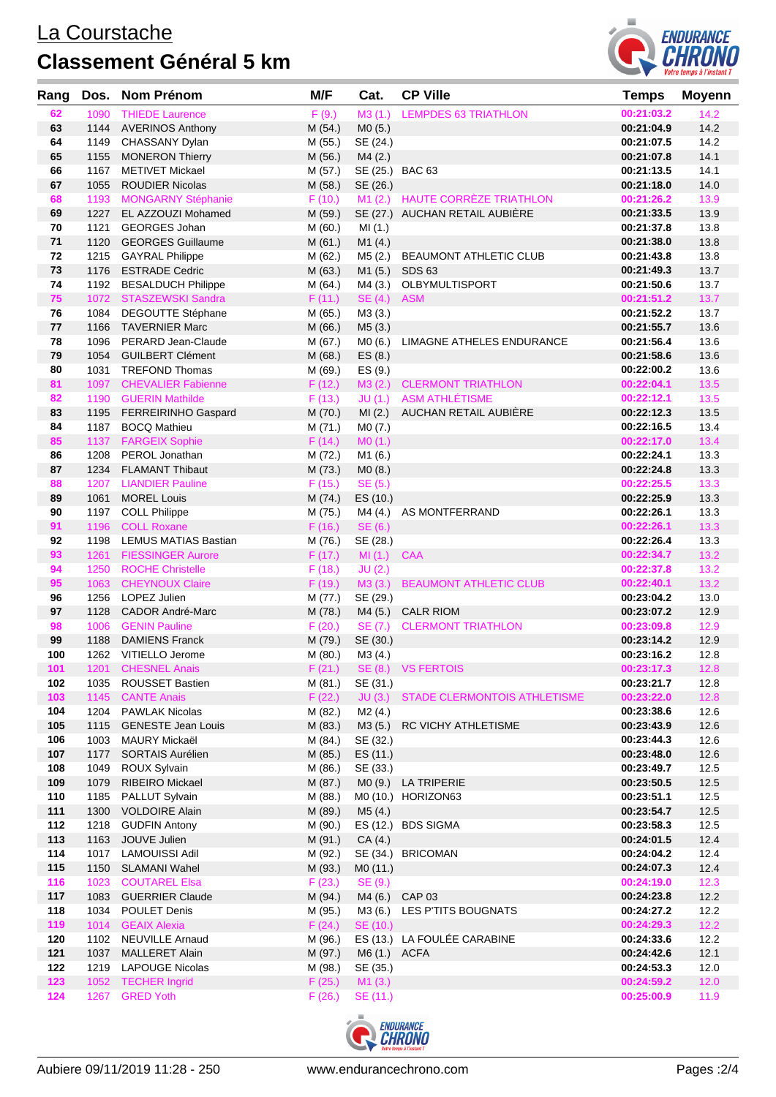

| Rang       | Dos.         | <b>Nom Prénom</b>                                   | M/F                | Cat.             | <b>CP Ville</b>                             | <b>Temps</b>             | <b>Moyenn</b> |
|------------|--------------|-----------------------------------------------------|--------------------|------------------|---------------------------------------------|--------------------------|---------------|
| 62         | 1090         | <b>THIEDE Laurence</b>                              | F(9.)              | M3(1.)           | <b>LEMPDES 63 TRIATHLON</b>                 | 00:21:03.2               | 14.2          |
| 63         | 1144         | <b>AVERINOS Anthony</b>                             | M (54.)            | MO(5.)           |                                             | 00:21:04.9               | 14.2          |
| 64         |              | 1149 CHASSANY Dylan                                 | M (55.)            | SE (24.)         |                                             | 00:21:07.5               | 14.2          |
| 65         | 1155         | <b>MONERON Thierry</b>                              | M (56.)            | M4(2.)           |                                             | 00:21:07.8               | 14.1          |
| 66         | 1167         | <b>METIVET Mickael</b>                              | M (57.)            |                  | SE (25.) BAC 63                             | 00:21:13.5               | 14.1          |
| 67         | 1055         | <b>ROUDIER Nicolas</b>                              | M (58.)            | SE (26.)         |                                             | 00:21:18.0               | 14.0          |
| 68         |              | 1193 MONGARNY Stéphanie                             | F(10.)             | M1(2.)           | <b>HAUTE CORRÈZE TRIATHLON</b>              | 00:21:26.2               | 13.9          |
| 69         | 1227         | EL AZZOUZI Mohamed                                  | M (59.)            |                  | SE (27.) AUCHAN RETAIL AUBIERE              | 00:21:33.5               | 13.9          |
| 70         | 1121         | <b>GEORGES Johan</b>                                | M(60.)             | MI(1.)           |                                             | 00:21:37.8               | 13.8          |
| 71         | 1120         | <b>GEORGES Guillaume</b>                            | M(61.)             | M1(4.)           |                                             | 00:21:38.0               | 13.8          |
| 72         | 1215         | <b>GAYRAL Philippe</b>                              | M (62.)            | M5(2.)           | BEAUMONT ATHLETIC CLUB                      | 00:21:43.8               | 13.8          |
| 73         | 1176         | <b>ESTRADE Cedric</b>                               | M(63.)             |                  | M1 (5.) SDS 63                              | 00:21:49.3               | 13.7          |
| 74         |              | 1192 BESALDUCH Philippe                             | M (64.)            | M4(3.)           | OLBYMULTISPORT                              | 00:21:50.6               | 13.7          |
| 75         |              | 1072 STASZEWSKI Sandra                              | F(11.)             | SE(4.)           | <b>ASM</b>                                  | 00:21:51.2               | 13.7          |
| 76         | 1084         | DEGOUTTE Stéphane                                   | M (65.)            | M3 (3.)          |                                             | 00:21:52.2               | 13.7          |
| 77         | 1166         | <b>TAVERNIER Marc</b>                               | M (66.)            | M5(3.)           |                                             | 00:21:55.7               | 13.6          |
| 78         | 1096         | PERARD Jean-Claude                                  | M (67.)            | MO(6.)           | LIMAGNE ATHELES ENDURANCE                   | 00:21:56.4               | 13.6          |
| 79         | 1054         | <b>GUILBERT Clément</b>                             | M(68.)             | ES(8.)           |                                             | 00:21:58.6               | 13.6          |
| 80         | 1031         | <b>TREFOND Thomas</b>                               | M (69.)            | ES(9.)           |                                             | 00:22:00.2<br>00:22:04.1 | 13.6          |
| 81<br>82   | 1097<br>1190 | <b>CHEVALIER Fabienne</b><br><b>GUERIN Mathilde</b> | F(12.)             | M3(2.)           | <b>CLERMONT TRIATHLON</b><br>ASM ATHLÉTISME | 00:22:12.1               | 13.5<br>13.5  |
| 83         | 1195         |                                                     | F(13.)             | JU(1.)<br>MI(2.) | AUCHAN RETAIL AUBIÈRE                       | 00:22:12.3               | 13.5          |
| 84         | 1187         | <b>FERREIRINHO Gaspard</b><br><b>BOCQ Mathieu</b>   | M (70.)<br>M(71.)  | M0 (7.)          |                                             | 00:22:16.5               | 13.4          |
| 85         | 1137         | <b>FARGEIX Sophie</b>                               | F(14.)             | MO(1.)           |                                             | 00:22:17.0               | 13.4          |
| 86         | 1208         | PEROL Jonathan                                      | M (72.)            | M1 (6.)          |                                             | 00:22:24.1               | 13.3          |
| 87         |              | 1234 FLAMANT Thibaut                                | M (73.)            | MO(8.)           |                                             | 00:22:24.8               | 13.3          |
| 88         | 1207         | <b>LIANDIER Pauline</b>                             | F(15.)             | SE (5.)          |                                             | 00:22:25.5               | 13.3          |
| 89         | 1061         | <b>MOREL Louis</b>                                  | M (74.)            | ES (10.)         |                                             | 00:22:25.9               | 13.3          |
| 90         |              | 1197 COLL Philippe                                  | M (75.)            | M4 (4.)          | AS MONTFERRAND                              | 00:22:26.1               | 13.3          |
| 91         | 1196         | <b>COLL Roxane</b>                                  | F(16.)             | SE (6.)          |                                             | 00:22:26.1               | 13.3          |
| 92         | 1198         | LEMUS MATIAS Bastian                                | M (76.)            | SE (28.)         |                                             | 00:22:26.4               | 13.3          |
| 93         | 1261         | <b>FIESSINGER Aurore</b>                            | F(17.)             | MI(1.)           | <b>CAA</b>                                  | 00:22:34.7               | 13.2          |
| 94         | 1250         | <b>ROCHE Christelle</b>                             | F(18.)             | JU(2.)           |                                             | 00:22:37.8               | 13.2          |
| 95         |              | 1063 CHEYNOUX Claire                                | F(19.)             | M3(3.)           | <b>BEAUMONT ATHLETIC CLUB</b>               | 00:22:40.1               | 13.2          |
| 96         | 1256         | LOPEZ Julien                                        | M (77.)            | SE (29.)         |                                             | 00:23:04.2               | 13.0          |
| 97         | 1128         | <b>CADOR André-Marc</b>                             | M (78.)            | M4(5.)           | <b>CALR RIOM</b>                            | 00:23:07.2               | 12.9          |
| 98         | 1006         | <b>GENIN Pauline</b>                                | F(20.)             | SE (7.)          | <b>CLERMONT TRIATHLON</b>                   | 00:23:09.8               | 12.9          |
| 99         | 1188         | <b>DAMIENS Franck</b>                               | M (79.)            | SE (30.)         |                                             | 00:23:14.2               | 12.9          |
| 100        |              | 1262 VITIELLO Jerome                                | M (80.)            | M3 (4.)          |                                             | 00:23:16.2               | 12.8          |
| 101        |              | 1201 CHESNEL Anais                                  | F(21.)             |                  | SE (8.) VS FERTOIS                          | 00:23:17.3               | 12.8          |
| 102        |              | 1035 ROUSSET Bastien                                | M (81.)            | SE (31.)         |                                             | 00:23:21.7               | 12.8          |
| 103        | 1145         | <b>CANTE Anais</b>                                  | F(22.)             | JU(3.)           | STADE CLERMONTOIS ATHLETISME                | 00:23:22.0               | 12.8          |
| 104        |              | 1204 PAWLAK Nicolas                                 | M (82.)            | M2(4.)           |                                             | 00:23:38.6               | 12.6          |
| 105        |              | 1115 GENESTE Jean Louis                             | M (83.)            | M3 (5.)          | RC VICHY ATHLETISME                         | 00:23:43.9               | 12.6          |
| 106        | 1003         | MAURY Mickaël                                       | M (84.)            | SE (32.)         |                                             | 00:23:44.3               | 12.6          |
| 107<br>108 | 1177<br>1049 | <b>SORTAIS Aurélien</b>                             | M (85.)            | ES (11.)         |                                             | 00:23:48.0<br>00:23:49.7 | 12.6<br>12.5  |
| 109        | 1079         | <b>ROUX Sylvain</b><br><b>RIBEIRO</b> Mickael       | M (86.)<br>M (87.) | SE (33.)         | MO (9.) LA TRIPERIE                         | 00:23:50.5               | 12.5          |
| 110        | 1185         | PALLUT Sylvain                                      | M (88.)            |                  | M0 (10.) HORIZON63                          | 00:23:51.1               | 12.5          |
| 111        | 1300         | <b>VOLDOIRE Alain</b>                               | M (89.)            | M5(4.)           |                                             | 00:23:54.7               | 12.5          |
| 112        | 1218         | <b>GUDFIN Antony</b>                                | M (90.)            |                  | ES (12.) BDS SIGMA                          | 00:23:58.3               | 12.5          |
| 113        | 1163         | JOUVE Julien                                        | M (91.)            | CA(4.)           |                                             | 00:24:01.5               | 12.4          |
| 114        | 1017         | <b>LAMOUISSI Adil</b>                               | M (92.)            |                  | SE (34.) BRICOMAN                           | 00:24:04.2               | 12.4          |
| 115        | 1150         | SLAMANI Wahel                                       | M (93.)            | MO (11.)         |                                             | 00:24:07.3               | 12.4          |
| 116        | 1023         | <b>COUTAREL Elsa</b>                                | F(23.)             | SE (9.)          |                                             | 00:24:19.0               | 12.3          |
| 117        | 1083         | <b>GUERRIER Claude</b>                              | M (94.)            |                  | M4 (6.) CAP 03                              | 00:24:23.8               | 12.2          |
| 118        | 1034         | <b>POULET Denis</b>                                 | M (95.)            | M3 (6.)          | LES P'TITS BOUGNATS                         | 00:24:27.2               | 12.2          |
| 119        | 1014         | <b>GEAIX Alexia</b>                                 | F(24.)             | SE (10.)         |                                             | 00:24:29.3               | 12.2          |
| 120        |              | 1102 NEUVILLE Arnaud                                | M (96.)            |                  | ES (13.) LA FOULÉE CARABINE                 | 00:24:33.6               | 12.2          |
| 121        | 1037         | <b>MALLERET Alain</b>                               | M (97.)            | M6 (1.) ACFA     |                                             | 00:24:42.6               | 12.1          |
| 122        | 1219         | <b>LAPOUGE Nicolas</b>                              | M (98.)            | SE (35.)         |                                             | 00:24:53.3               | 12.0          |
| 123        | 1052         | <b>TECHER Ingrid</b>                                | F(25.)             | M1(3.)           |                                             | 00:24:59.2               | 12.0          |
| 124        | 1267         | <b>GRED Yoth</b>                                    | F(26.)             | SE (11.)         |                                             | 00:25:00.9               | 11.9          |

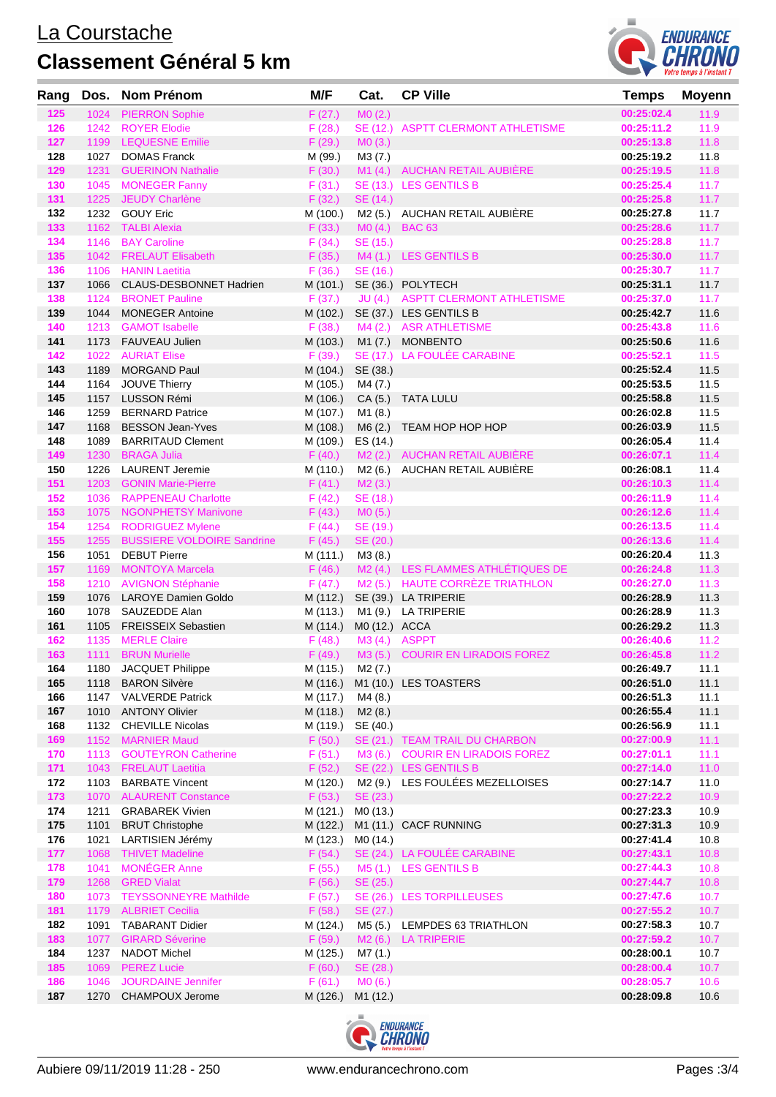

| Rang       | Dos.         | Nom Prénom                                     | M/F                | Cat.          | <b>CP Ville</b>                    | <b>Temps</b>             | <b>Moyenn</b> |
|------------|--------------|------------------------------------------------|--------------------|---------------|------------------------------------|--------------------------|---------------|
| 125        | 1024         | <b>PIERRON Sophie</b>                          | F(27.)             | MO(2.)        |                                    | 00:25:02.4               | 11.9          |
| 126        | 1242         | <b>ROYER Elodie</b>                            | F(28.)             |               | SE (12.) ASPTT CLERMONT ATHLETISME | 00:25:11.2               | 11.9          |
| 127        | 1199         | <b>LEQUESNE Emilie</b>                         | F(29.)             | MO(3.)        |                                    | 00:25:13.8               | 11.8          |
| 128        | 1027         | <b>DOMAS Franck</b>                            | M (99.)            | M3(7.)        |                                    | 00:25:19.2               | 11.8          |
| 129        | 1231         | <b>GUERINON Nathalie</b>                       | F(30.)             |               | M1 (4.) AUCHAN RETAIL AUBIÈRE      | 00:25:19.5               | 11.8          |
| 130        | 1045         | <b>MONEGER Fanny</b>                           | F(31.)             |               | SE (13.) LES GENTILS B             | 00:25:25.4               | 11.7          |
| 131        | 1225         | JEUDY Charlène                                 | F(32.)             | SE (14.)      |                                    | 00:25:25.8               | 11.7          |
| 132        |              | 1232 GOUY Eric                                 | M (100.)           |               | M2 (5.) AUCHAN RETAIL AUBIÈRE      | 00:25:27.8               | 11.7          |
| 133        | 1162         | <b>TALBI Alexia</b>                            | F(33.)             |               | M0 (4.) BAC 63                     | 00:25:28.6               | 11.7          |
| 134        | 1146         | <b>BAY Caroline</b>                            | F(34.)             | SE (15.)      |                                    | 00:25:28.8               | 11.7          |
| 135        |              | 1042 FRELAUT Elisabeth                         | F(35.)             |               | M4 (1.) LES GENTILS B              | 00:25:30.0               | 11.7          |
| 136        | 1106         | <b>HANIN Laetitia</b>                          | F(36.)             | SE (16.)      |                                    | 00:25:30.7               | 11.7          |
| 137        | 1066         | <b>CLAUS-DESBONNET Hadrien</b>                 | M (101.)           |               | SE (36.) POLYTECH                  | 00:25:31.1               | 11.7          |
| 138        | 1124         | <b>BRONET Pauline</b>                          | F(37.)             |               | JU (4.) ASPTT CLERMONT ATHLETISME  | 00:25:37.0               | 11.7          |
| 139        | 1044         | <b>MONEGER Antoine</b>                         | M (102.)           |               | SE (37.) LES GENTILS B             | 00:25:42.7               | 11.6          |
| 140        | 1213         | <b>GAMOT Isabelle</b>                          | F(38.)             |               | M4 (2.) ASR ATHLETISME             | 00:25:43.8               | 11.6          |
| 141        | 1173         | FAUVEAU Julien                                 | M (103.)           | M1 (7.)       | <b>MONBENTO</b>                    | 00:25:50.6               | 11.6          |
| 142        | 1022         | <b>AURIAT Elise</b>                            | F(39.)             |               | SE (17.) LA FOULÉE CARABINE        | 00:25:52.1               | 11.5          |
| 143        | 1189         | <b>MORGAND Paul</b>                            | M (104.)           | SE (38.)      |                                    | 00:25:52.4               | 11.5          |
| 144        | 1164         | <b>JOUVE Thierry</b>                           | M (105.)           | M4(7.)        |                                    | 00:25:53.5               | 11.5          |
| 145        | 1157         | <b>LUSSON Rémi</b>                             | M (106.)           | CA(5.)        | <b>TATA LULU</b>                   | 00:25:58.8               | 11.5          |
| 146        | 1259         | <b>BERNARD Patrice</b>                         | M (107.)           | M1 (8.)       |                                    | 00:26:02.8               | 11.5          |
| 147        | 1168         | <b>BESSON Jean-Yves</b>                        | M (108.)           | M6(2.)        | TEAM HOP HOP HOP                   | 00:26:03.9               | 11.5          |
| 148<br>149 | 1089<br>1230 | <b>BARRITAUD Clement</b><br><b>BRAGA Julia</b> | M (109.)           | ES (14.)      | M2 (2.) AUCHAN RETAIL AUBIÈRE      | 00:26:05.4<br>00:26:07.1 | 11.4<br>11.4  |
| 150        | 1226         | <b>LAURENT Jeremie</b>                         | F(40.)<br>M (110.) | M2 (6.)       | AUCHAN RETAIL AUBIÈRE              | 00:26:08.1               | 11.4          |
| 151        | 1203         | <b>GONIN Marie-Pierre</b>                      | F(41.)             | M2(3.)        |                                    | 00:26:10.3               | 11.4          |
| 152        | 1036         | <b>RAPPENEAU Charlotte</b>                     | F(42.)             | SE (18.)      |                                    | 00:26:11.9               | 11.4          |
| 153        | 1075         | <b>NGONPHETSY Manivone</b>                     | F(43.)             | MO(5.)        |                                    | 00:26:12.6               | 11.4          |
| 154        | 1254         | <b>RODRIGUEZ Mylene</b>                        | F(44.)             | SE (19.)      |                                    | 00:26:13.5               | 11.4          |
| 155        | 1255         | <b>BUSSIERE VOLDOIRE Sandrine</b>              | F(45.)             | SE (20.)      |                                    | 00:26:13.6               | 11.4          |
| 156        | 1051         | <b>DEBUT Pierre</b>                            | M (111.)           | M3 (8.)       |                                    | 00:26:20.4               | 11.3          |
| 157        | 1169         | <b>MONTOYA Marcela</b>                         | F(46.)             |               | M2 (4.) LES FLAMMES ATHLÉTIQUES DE | 00:26:24.8               | 11.3          |
| 158        | 1210         | <b>AVIGNON Stéphanie</b>                       | F(47.)             |               | M2 (5.) HAUTE CORREZE TRIATHLON    | 00:26:27.0               | 11.3          |
| 159        | 1076         | <b>LAROYE Damien Goldo</b>                     | M (112.)           |               | SE (39.) LA TRIPERIE               | 00:26:28.9               | 11.3          |
| 160        | 1078         | SAUZEDDE Alan                                  | M (113.)           |               | M1 (9.) LA TRIPERIE                | 00:26:28.9               | 11.3          |
| 161        | 1105         | <b>FREISSEIX Sebastien</b>                     | M (114.)           | M0 (12.) ACCA |                                    | 00:26:29.2               | 11.3          |
| 162        | 1135         | <b>MERLE Claire</b>                            | F(48.)             | M3 (4.)       | <b>ASPPT</b>                       | 00:26:40.6               | 11.2          |
| 163        | 1111         | <b>BRUN Murielle</b>                           | F(49.)             | M3(5.)        | <b>COURIR EN LIRADOIS FOREZ</b>    | 00:26:45.8               | 11.2          |
| 164        | 1180         | JACQUET Philippe                               | M (115.)           | M2 (7.)       |                                    | 00:26:49.7               | 11.1          |
| 165        |              | 1118 BARON Silvère                             | M (116.)           |               | M1 (10.) LES TOASTERS              | 00:26:51.0               | 11.1          |
| 166        | 1147         | <b>VALVERDE Patrick</b>                        | M (117.)           | M4(8.)        |                                    | 00:26:51.3               | 11.1          |
| 167        | 1010         | <b>ANTONY Olivier</b>                          | M (118.)           | M2(8.)        |                                    | 00:26:55.4               | 11.1          |
| 168        | 1132         | <b>CHEVILLE Nicolas</b>                        | M (119.)           | SE (40.)      |                                    | 00:26:56.9               | 11.1          |
| 169        | 1152         | <b>MARNIER Maud</b>                            | F(50.)             |               | SE (21.) TEAM TRAIL DU CHARBON     | 00:27:00.9               | 11.1          |
| 170        | 1113         | <b>GOUTEYRON Catherine</b>                     | F(51.)             | M3 (6.)       | <b>COURIR EN LIRADOIS FOREZ</b>    | 00:27:01.1               | 11.1          |
| 171        | 1043         | <b>FRELAUT Laetitia</b>                        | F(52.)             |               | SE (22.) LES GENTILS B             | 00:27:14.0               | 11.0          |
| 172        | 1103         | <b>BARBATE Vincent</b>                         | M (120.)           | M2 (9.)       | LES FOULÉES MEZELLOISES            | 00:27:14.7               | 11.0          |
| 173        | 1070         | <b>ALAURENT Constance</b>                      | F(53.)             | SE (23.)      |                                    | 00:27:22.2               | 10.9          |
| 174        | 1211         | <b>GRABAREK Vivien</b>                         | M (121.)           | MO (13.)      |                                    | 00:27:23.3               | 10.9          |
| 175<br>176 | 1101         | <b>BRUT Christophe</b>                         | M (122.)           |               | M1 (11.) CACF RUNNING              | 00:27:31.3<br>00:27:41.4 | 10.9          |
|            | 1021         | LARTISIEN Jérémy                               | M (123.)           | M0 (14.)      | SE (24.) LA FOULÉE CARABINE        |                          | 10.8          |
| 177<br>178 | 1068<br>1041 | <b>THIVET Madeline</b><br><b>MONÉGER Anne</b>  | F(54.)             | M5 (1.)       | <b>LES GENTILS B</b>               | 00:27:43.1<br>00:27:44.3 | 10.8<br>10.8  |
| 179        | 1268         | <b>GRED Vialat</b>                             | F(55.)<br>F(56.)   | SE (25.)      |                                    | 00:27:44.7               | 10.8          |
| 180        | 1073         | <b>TEYSSONNEYRE Mathilde</b>                   | F(57.)             |               | SE (26.) LES TORPILLEUSES          | 00:27:47.6               | 10.7          |
| 181        | 1179         | <b>ALBRIET Cecilia</b>                         | F(58.)             | SE (27.)      |                                    | 00:27:55.2               | 10.7          |
| 182        | 1091         | <b>TABARANT Didier</b>                         | M (124.)           |               | M5 (5.) LEMPDES 63 TRIATHLON       | 00:27:58.3               | 10.7          |
| 183        | 1077         | <b>GIRARD Séverine</b>                         | F(59.)             |               | M <sub>2</sub> (6.) LA TRIPERIE    | 00:27:59.2               | 10.7          |
| 184        | 1237         | NADOT Michel                                   | M (125.)           | M7 (1.)       |                                    | 00:28:00.1               | 10.7          |
| 185        | 1069         | <b>PEREZ Lucie</b>                             | F(60.)             | SE (28.)      |                                    | 00:28:00.4               | 10.7          |
| 186        | 1046         | <b>JOURDAINE Jennifer</b>                      | F(61.)             | MO(6.)        |                                    | 00:28:05.7               | 10.6          |
| 187        | 1270         | <b>CHAMPOUX Jerome</b>                         | M (126.)           | M1 (12.)      |                                    | 00:28:09.8               | 10.6          |
|            |              |                                                |                    |               |                                    |                          |               |